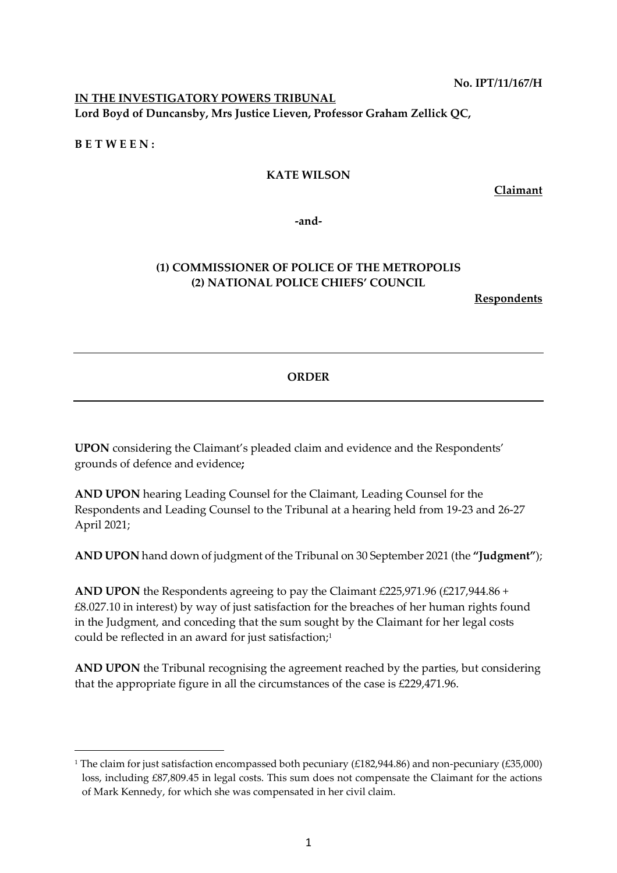**No. IPT/11/167/H**

## **IN THE INVESTIGATORY POWERS TRIBUNAL Lord Boyd of Duncansby, Mrs Justice Lieven, Professor Graham Zellick QC,**

**B E T W E E N :**

### **KATE WILSON**

**Claimant**

**-and-**

# **(1) COMMISSIONER OF POLICE OF THE METROPOLIS (2) NATIONAL POLICE CHIEFS' COUNCIL**

**Respondents**

## **ORDER**

**UPON** considering the Claimant's pleaded claim and evidence and the Respondents' grounds of defence and evidence**;**

**AND UPON** hearing Leading Counsel for the Claimant, Leading Counsel for the Respondents and Leading Counsel to the Tribunal at a hearing held from 19-23 and 26-27 April 2021;

**AND UPON** hand down of judgment of the Tribunal on 30 September 2021 (the **"Judgment"**);

**AND UPON** the Respondents agreeing to pay the Claimant £225,971.96 (£217,944.86 + £8.027.10 in interest) by way of just satisfaction for the breaches of her human rights found in the Judgment, and conceding that the sum sought by the Claimant for her legal costs could be reflected in an award for just satisfaction; 1

**AND UPON** the Tribunal recognising the agreement reached by the parties, but considering that the appropriate figure in all the circumstances of the case is £229,471.96.

<sup>&</sup>lt;sup>1</sup> The claim for just satisfaction encompassed both pecuniary (£182,944.86) and non-pecuniary (£35,000) loss, including £87,809.45 in legal costs. This sum does not compensate the Claimant for the actions of Mark Kennedy, for which she was compensated in her civil claim.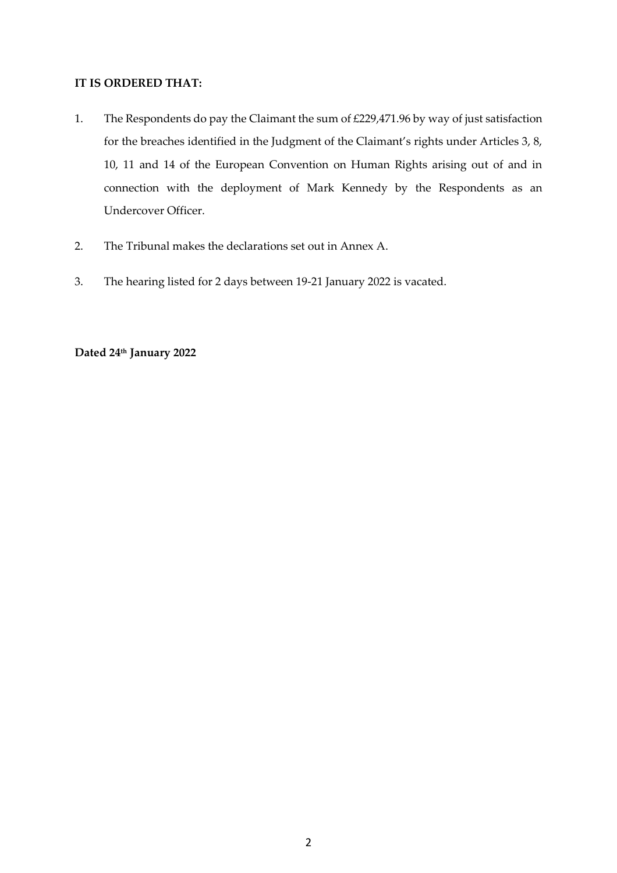### **IT IS ORDERED THAT:**

- 1. The Respondents do pay the Claimant the sum of £229,471.96 by way of just satisfaction for the breaches identified in the Judgment of the Claimant's rights under Articles 3, 8, 10, 11 and 14 of the European Convention on Human Rights arising out of and in connection with the deployment of Mark Kennedy by the Respondents as an Undercover Officer.
- 2. The Tribunal makes the declarations set out in Annex A.
- 3. The hearing listed for 2 days between 19-21 January 2022 is vacated.

### **Dated 24th January 2022**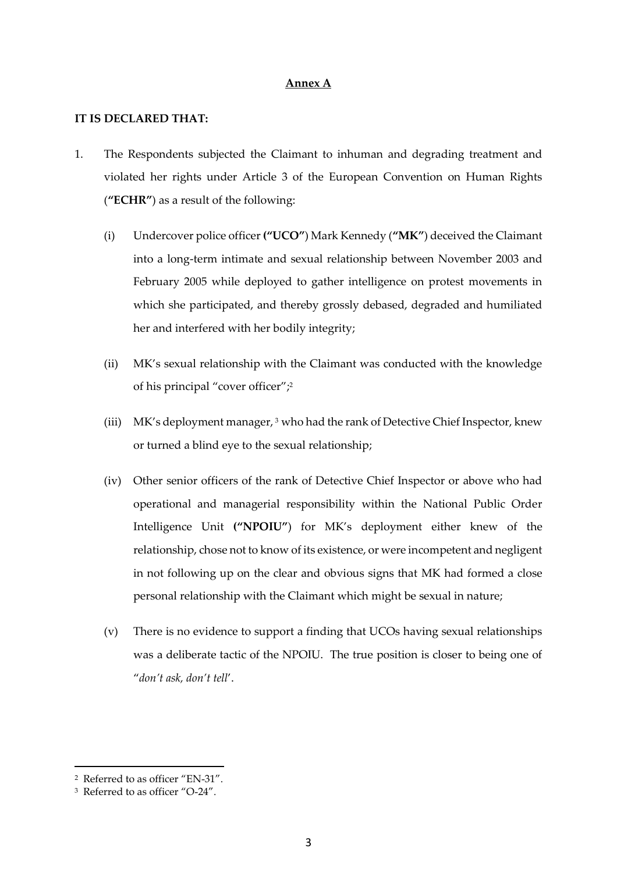#### **Annex A**

#### **IT IS DECLARED THAT:**

- 1. The Respondents subjected the Claimant to inhuman and degrading treatment and violated her rights under Article 3 of the European Convention on Human Rights (**"ECHR"**) as a result of the following:
	- (i) Undercover police officer **("UCO"**) Mark Kennedy (**"MK"**) deceived the Claimant into a long-term intimate and sexual relationship between November 2003 and February 2005 while deployed to gather intelligence on protest movements in which she participated, and thereby grossly debased, degraded and humiliated her and interfered with her bodily integrity;
	- (ii) MK's sexual relationship with the Claimant was conducted with the knowledge of his principal "cover officer";<sup>2</sup>
	- (iii) MK's deployment manager,  $3$  who had the rank of Detective Chief Inspector, knew or turned a blind eye to the sexual relationship;
	- (iv) Other senior officers of the rank of Detective Chief Inspector or above who had operational and managerial responsibility within the National Public Order Intelligence Unit **("NPOIU"**) for MK's deployment either knew of the relationship, chose not to know of its existence, or were incompetent and negligent in not following up on the clear and obvious signs that MK had formed a close personal relationship with the Claimant which might be sexual in nature;
	- (v) There is no evidence to support a finding that UCOs having sexual relationships was a deliberate tactic of the NPOIU. The true position is closer to being one of "*don't ask, don't tell*'.

<sup>2</sup> Referred to as officer "EN-31".

<sup>3</sup> Referred to as officer "O-24".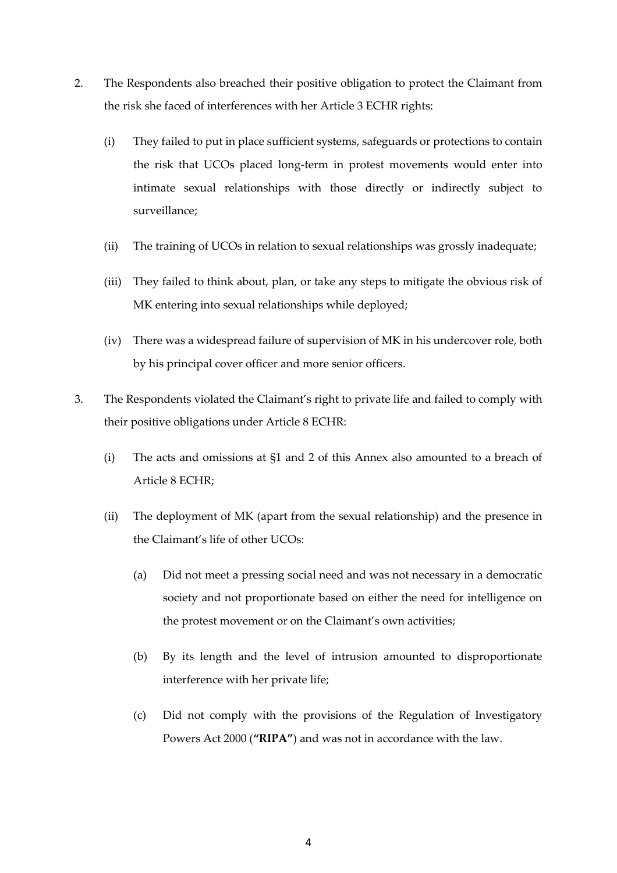- 2. The Respondents also breached their positive obligation to protect the Claimant from the risk she faced of interferences with her Article 3 ECHR rights:
	- (i) They failed to put in place sufficient systems, safeguards or protections to contain the risk that UCOs placed long-term in protest movements would enter into intimate sexual relationships with those directly or indirectly subject to surveillance;
	- (ii) The training of UCOs in relation to sexual relationships was grossly inadequate;
	- (iii) They failed to think about, plan, or take any steps to mitigate the obvious risk of MK entering into sexual relationships while deployed;
	- (iv) There was a widespread failure of supervision of MK in his undercover role, both by his principal cover officer and more senior officers.
- 3. The Respondents violated the Claimant's right to private life and failed to comply with their positive obligations under Article 8 ECHR:
	- (i) The acts and omissions at §1 and 2 of this Annex also amounted to a breach of Article 8 ECHR;
	- (ii) The deployment of MK (apart from the sexual relationship) and the presence in the Claimant's life of other UCOs:
		- (a) Did not meet a pressing social need and was not necessary in a democratic society and not proportionate based on either the need for intelligence on the protest movement or on the Claimant's own activities;
		- (b) By its length and the level of intrusion amounted to disproportionate interference with her private life;
		- (c) Did not comply with the provisions of the Regulation of Investigatory Powers Act 2000 (**"RIPA"**) and was not in accordance with the law.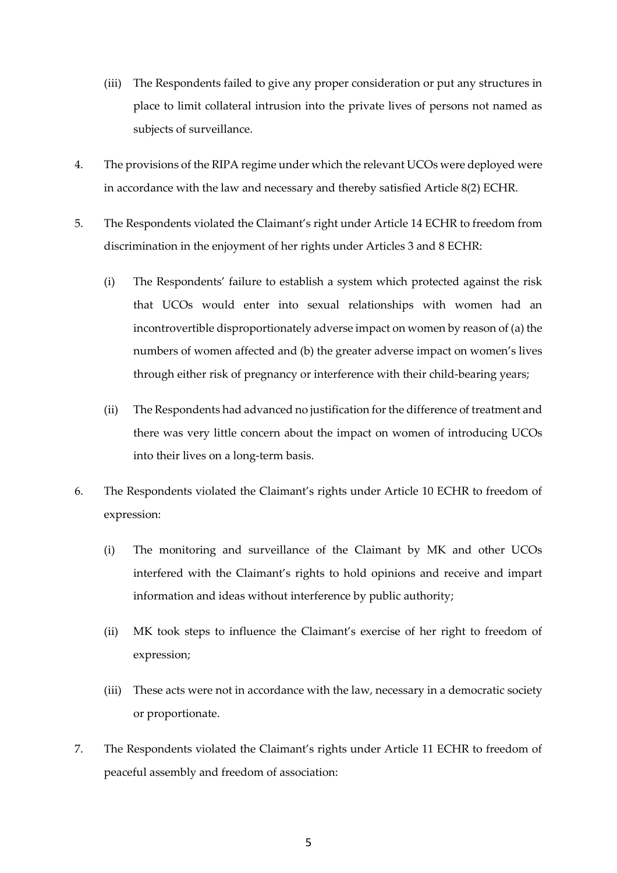- (iii) The Respondents failed to give any proper consideration or put any structures in place to limit collateral intrusion into the private lives of persons not named as subjects of surveillance.
- 4. The provisions of the RIPA regime under which the relevant UCOs were deployed were in accordance with the law and necessary and thereby satisfied Article 8(2) ECHR.
- 5. The Respondents violated the Claimant's right under Article 14 ECHR to freedom from discrimination in the enjoyment of her rights under Articles 3 and 8 ECHR:
	- (i) The Respondents' failure to establish a system which protected against the risk that UCOs would enter into sexual relationships with women had an incontrovertible disproportionately adverse impact on women by reason of (a) the numbers of women affected and (b) the greater adverse impact on women's lives through either risk of pregnancy or interference with their child-bearing years;
	- (ii) The Respondents had advanced no justification for the difference of treatment and there was very little concern about the impact on women of introducing UCOs into their lives on a long-term basis.
- 6. The Respondents violated the Claimant's rights under Article 10 ECHR to freedom of expression:
	- (i) The monitoring and surveillance of the Claimant by MK and other UCOs interfered with the Claimant's rights to hold opinions and receive and impart information and ideas without interference by public authority;
	- (ii) MK took steps to influence the Claimant's exercise of her right to freedom of expression;
	- (iii) These acts were not in accordance with the law, necessary in a democratic society or proportionate.
- 7. The Respondents violated the Claimant's rights under Article 11 ECHR to freedom of peaceful assembly and freedom of association: